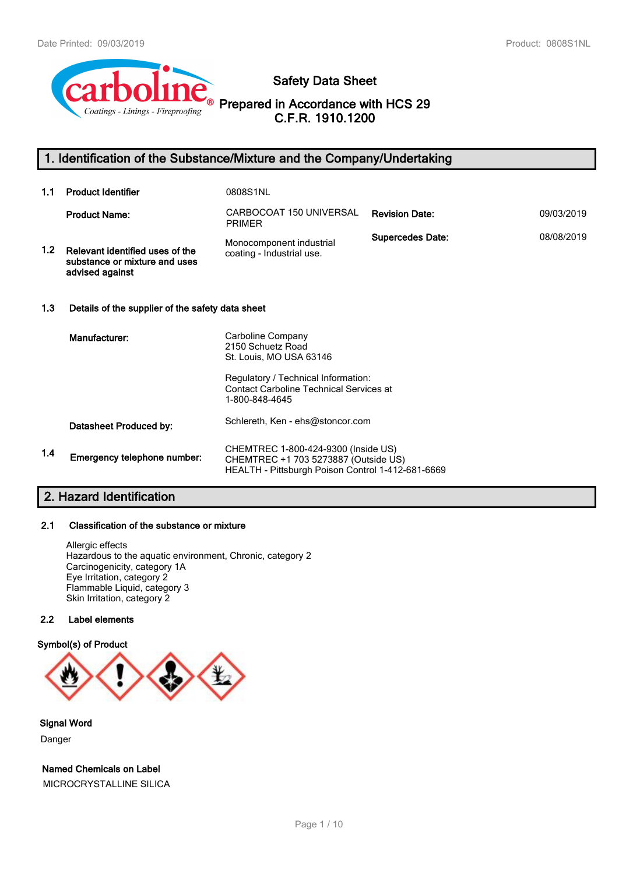

# **Safety Data Sheet**

**Prepared in Accordance with HCS 29 C.F.R. 1910.1200**

# **1. Identification of the Substance/Mixture and the Company/Undertaking**

| 1.1 | <b>Product Identifier</b>                                                           | 0808S1NL                                                                                                                                                                     |                         |            |
|-----|-------------------------------------------------------------------------------------|------------------------------------------------------------------------------------------------------------------------------------------------------------------------------|-------------------------|------------|
|     | <b>Product Name:</b>                                                                | CARBOCOAT 150 UNIVERSAL<br><b>PRIMER</b>                                                                                                                                     | <b>Revision Date:</b>   | 09/03/2019 |
| 1.2 | Relevant identified uses of the<br>substance or mixture and uses<br>advised against | Monocomponent industrial<br>coating - Industrial use.                                                                                                                        | <b>Supercedes Date:</b> | 08/08/2019 |
| 1.3 | Details of the supplier of the safety data sheet                                    |                                                                                                                                                                              |                         |            |
|     | Manufacturer:                                                                       | Carboline Company<br>2150 Schuetz Road<br>St. Louis, MO USA 63146<br>Regulatory / Technical Information:<br><b>Contact Carboline Technical Services at</b><br>1-800-848-4645 |                         |            |
|     | Datasheet Produced by:                                                              | Schlereth, Ken - ehs@stoncor.com                                                                                                                                             |                         |            |
| 1.4 | Emergency telephone number:                                                         | CHEMTREC 1-800-424-9300 (Inside US)<br>CHEMTREC +1 703 5273887 (Outside US)<br>HEALTH - Pittsburgh Poison Control 1-412-681-6669                                             |                         |            |

# **2. Hazard Identification**

## **2.1 Classification of the substance or mixture**

Allergic effects Hazardous to the aquatic environment, Chronic, category 2 Carcinogenicity, category 1A Eye Irritation, category 2 Flammable Liquid, category 3 Skin Irritation, category 2

## **2.2 Label elements**

## **Symbol(s) of Product**



**Signal Word**

Danger

**Named Chemicals on Label**

MICROCRYSTALLINE SILICA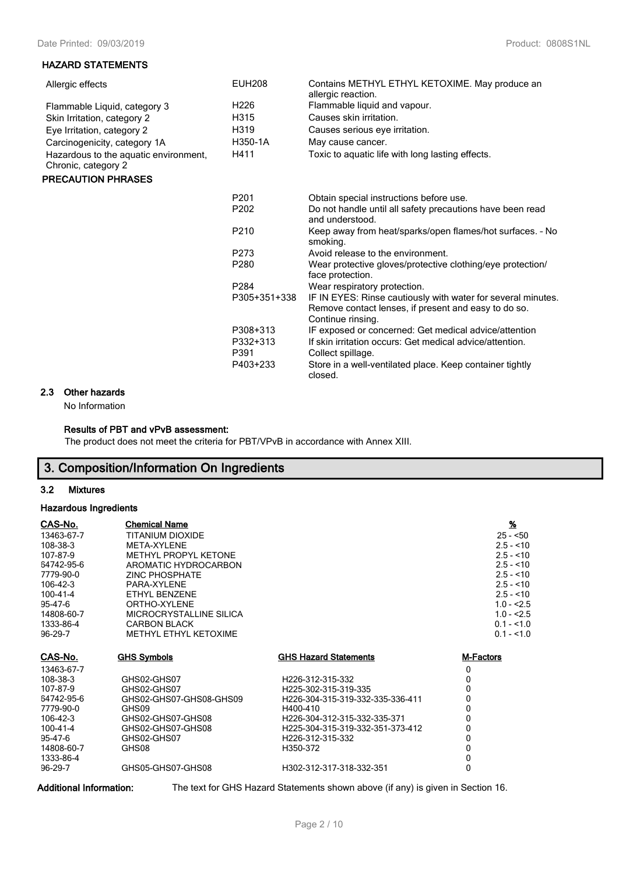#### **HAZARD STATEMENTS**

| <b>EUH208</b><br>H <sub>226</sub><br>H315<br>H319<br>H350-1A<br>H411 | Contains METHYL ETHYL KETOXIME. May produce an<br>allergic reaction.<br>Flammable liquid and vapour.<br>Causes skin irritation.<br>Causes serious eye irritation.<br>May cause cancer.<br>Toxic to aquatic life with long lasting effects. |
|----------------------------------------------------------------------|--------------------------------------------------------------------------------------------------------------------------------------------------------------------------------------------------------------------------------------------|
|                                                                      |                                                                                                                                                                                                                                            |
| P <sub>201</sub>                                                     | Obtain special instructions before use.                                                                                                                                                                                                    |
| P <sub>202</sub>                                                     | Do not handle until all safety precautions have been read<br>and understood.                                                                                                                                                               |
| P <sub>210</sub>                                                     | Keep away from heat/sparks/open flames/hot surfaces. - No<br>smoking.                                                                                                                                                                      |
| P273                                                                 | Avoid release to the environment.                                                                                                                                                                                                          |
| P280                                                                 | Wear protective gloves/protective clothing/eye protection/<br>face protection.                                                                                                                                                             |
| P284                                                                 | Wear respiratory protection.                                                                                                                                                                                                               |
| P305+351+338                                                         | IF IN EYES: Rinse cautiously with water for several minutes.<br>Remove contact lenses, if present and easy to do so.<br>Continue rinsing.                                                                                                  |
| P308+313<br>P332+313<br>P391<br>P403+233                             | IF exposed or concerned: Get medical advice/attention<br>If skin irritation occurs: Get medical advice/attention.<br>Collect spillage.<br>Store in a well-ventilated place. Keep container tightly<br>closed.                              |
|                                                                      |                                                                                                                                                                                                                                            |

# **2.3 Other hazards**

No Information

## **Results of PBT and vPvB assessment:**

The product does not meet the criteria for PBT/VPvB in accordance with Annex XIII.

# **3. Composition/Information On Ingredients**

### **3.2 Mixtures**

## **Hazardous Ingredients**

| <u>CAS-No.</u> | <b>Chemical Name</b>        |                                  | $\frac{96}{2}$ |
|----------------|-----------------------------|----------------------------------|----------------|
| 13463-67-7     | <b>TITANIUM DIOXIDE</b>     |                                  | $25 - 50$      |
| 108-38-3       | META-XYLENE                 |                                  | $2.5 - 10$     |
| 107-87-9       | <b>METHYL PROPYL KETONE</b> |                                  | $2.5 - 10$     |
| 64742-95-6     | AROMATIC HYDROCARBON        |                                  | $2.5 - 10$     |
| 7779-90-0      | <b>ZINC PHOSPHATE</b>       |                                  | $2.5 - 10$     |
| 106-42-3       | PARA-XYI FNF                |                                  | $2.5 - 10$     |
| $100 - 41 - 4$ | ETHYL BENZENE               |                                  | $2.5 - 10$     |
| 95-47-6        | ORTHO-XYI FNF               |                                  | $1.0 - 2.5$    |
| 14808-60-7     | MICROCRYSTALLINE SILICA     |                                  | $1.0 - 2.5$    |
| 1333-86-4      | <b>CARBON BLACK</b>         |                                  | $0.1 - 1.0$    |
| 96-29-7        | METHYL ETHYL KETOXIME       |                                  | $0.1 - 1.0$    |
| <u>CAS-No.</u> | <b>GHS Symbols</b>          | <b>GHS Hazard Statements</b>     | M-Factors      |
| 13463-67-7     |                             |                                  | 0              |
| 108-38-3       | GHS02-GHS07                 | H226-312-315-332                 | $\Omega$       |
| 107-87-9       | GHS02-GHS07                 | H225-302-315-319-335             | $\Omega$       |
| 64742-95-6     | GHS02-GHS07-GHS08-GHS09     | H226-304-315-319-332-335-336-411 | 0              |
| 7779-90-0      | GHS09                       | H400-410                         | 0              |
| 106-42-3       | GHS02-GHS07-GHS08           | H226-304-312-315-332-335-371     | 0              |
| 100-41-4       | GHS02-GHS07-GHS08           | H225-304-315-319-332-351-373-412 | 0              |
| 95-47-6        | GHS02-GHS07                 | H226-312-315-332                 | $\Omega$       |
| 14808-60-7     | GHS08                       | H350-372                         | 0              |
| 1333-86-4      |                             |                                  | 0              |
| 96-29-7        | GHS05-GHS07-GHS08           | H302-312-317-318-332-351         | $\mathbf{0}$   |

**Additional Information:** The text for GHS Hazard Statements shown above (if any) is given in Section 16.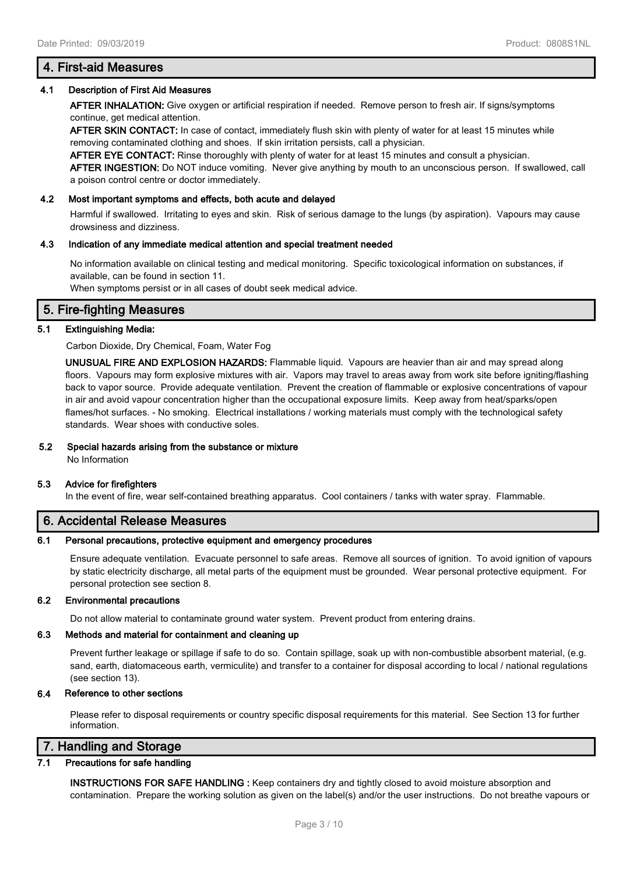## 4.1 Description of First Aid Measures

AFTER INHALATION: Give oxygen or artificial respiration if needed. Remove person to fresh air. If signs/symptoms continue, get medical attention.

AFTER SKIN CONTACT: In case of contact, immediately flush skin with plenty of water for at least 15 minutes while removing contaminated clothing and shoes. If skin irritation persists, call a physician.

AFTER EYE CONTACT: Rinse thoroughly with plenty of water for at least 15 minutes and consult a physician.

AFTER INGESTION: Do NOT induce vomiting. Never give anything by mouth to an unconscious person. If swallowed, call a poison control centre or doctor immediately.

#### 4.2 Most important symptoms and effects, both acute and delayed

Harmful if swallowed. Irritating to eyes and skin. Risk of serious damage to the lungs (by aspiration). Vapours may cause drowsiness and dizziness.

#### 4.3 Indication of any immediate medical attention and special treatment needed

No information available on clinical testing and medical monitoring. Specific toxicological information on substances, if available, can be found in section 11.

When symptoms persist or in all cases of doubt seek medical advice.

# 5. Fire-fighting Measures

## 5.1 Extinguishing Media:

Carbon Dioxide, Dry Chemical, Foam, Water Fog

UNUSUAL FIRE AND EXPLOSION HAZARDS: Flammable liquid. Vapours are heavier than air and may spread along floors. Vapours may form explosive mixtures with air. Vapors may travel to areas away from work site before igniting/flashing back to vapor source. Provide adequate ventilation. Prevent the creation of flammable or explosive concentrations of vapour in air and avoid vapour concentration higher than the occupational exposure limits. Keep away from heat/sparks/open flames/hot surfaces. - No smoking. Electrical installations / working materials must comply with the technological safety standards. Wear shoes with conductive soles.

### 5.2 Special hazards arising from the substance or mixture

No Information

#### 5.3 Advice for firefighters

In the event of fire, wear self-contained breathing apparatus. Cool containers / tanks with water spray. Flammable.

# 6. Accidental Release Measures

#### 6.1 Personal precautions, protective equipment and emergency procedures

Ensure adequate ventilation. Evacuate personnel to safe areas. Remove all sources of ignition. To avoid ignition of vapours by static electricity discharge, all metal parts of the equipment must be grounded. Wear personal protective equipment. For personal protection see section 8.

#### 6.2 Environmental precautions

Do not allow material to contaminate ground water system. Prevent product from entering drains.

#### 6.3 Methods and material for containment and cleaning up

Prevent further leakage or spillage if safe to do so. Contain spillage, soak up with non-combustible absorbent material, (e.g. sand, earth, diatomaceous earth, vermiculite) and transfer to a container for disposal according to local / national regulations (see section 13).

#### **6.4 Reference to other sections**

Please refer to disposal requirements or country specific disposal requirements for this material. See Section 13 for further information.

# 7. Handling and Storage

#### 7.1 Precautions for safe handling

INSTRUCTIONS FOR SAFE HANDLING : Keep containers dry and tightly closed to avoid moisture absorption and contamination. Prepare the working solution as given on the label(s) and/or the user instructions. Do not breathe vapours or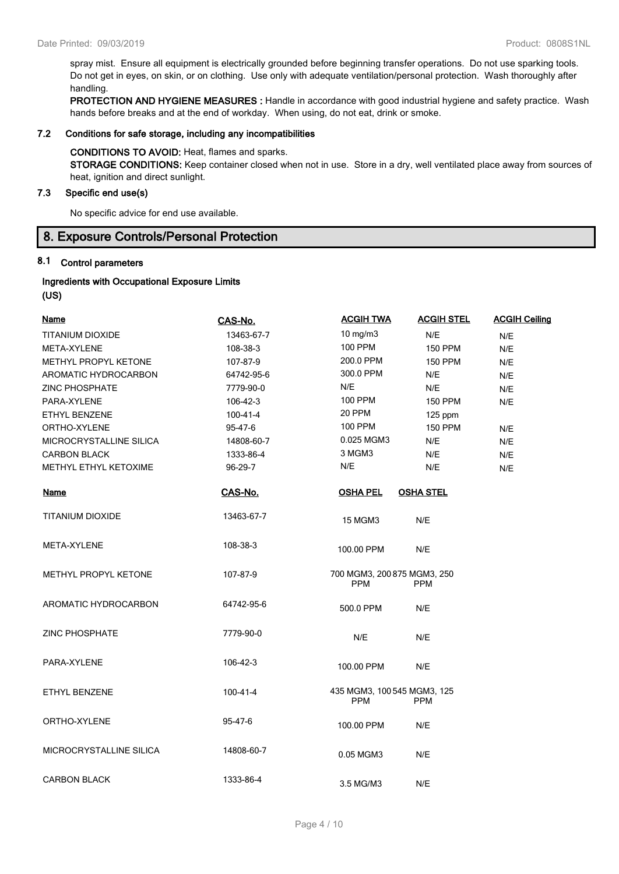spray mist. Ensure all equipment is electrically grounded before beginning transfer operations. Do not use sparking tools. Do not get in eyes, on skin, or on clothing. Use only with adequate ventilation/personal protection. Wash thoroughly after handling.

PROTECTION AND HYGIENE MEASURES : Handle in accordance with good industrial hygiene and safety practice. Wash hands before breaks and at the end of workday. When using, do not eat, drink or smoke.

#### 7.2 Conditions for safe storage, including any incompatibilities

#### CONDITIONS TO AVOID: Heat, flames and sparks.

STORAGE CONDITIONS: Keep container closed when not in use. Store in a dry, well ventilated place away from sources of heat, ignition and direct sunlight.

## 7.3 Specific end use(s)

No specific advice for end use available.

# **8. Exposure Controls/Personal Protection**

## **8.1 Control parameters**

#### **Ingredients with Occupational Exposure Limits (US)**

| (ບວ) |  |
|------|--|
|      |  |

| <b>Name</b>                  | CAS-No.        | <b>ACGIH TWA</b>                          | <b>ACGIH STEL</b> | <b>ACGIH Ceiling</b> |
|------------------------------|----------------|-------------------------------------------|-------------------|----------------------|
| <b>TITANIUM DIOXIDE</b>      | 13463-67-7     | $10$ mg/m $3$                             | N/E               | N/E                  |
| META-XYLENE                  | 108-38-3       | <b>100 PPM</b>                            | <b>150 PPM</b>    | N/E                  |
| METHYL PROPYL KETONE         | 107-87-9       | 200.0 PPM                                 | <b>150 PPM</b>    | N/E                  |
| AROMATIC HYDROCARBON         | 64742-95-6     | 300.0 PPM                                 | N/E               | N/E                  |
| <b>ZINC PHOSPHATE</b>        | 7779-90-0      | N/E                                       | N/E               | N/E                  |
| PARA-XYLENE                  | 106-42-3       | <b>100 PPM</b>                            | <b>150 PPM</b>    | N/E                  |
| <b>ETHYL BENZENE</b>         | $100 - 41 - 4$ | 20 PPM                                    | 125 ppm           |                      |
| ORTHO-XYLENE                 | 95-47-6        | 100 PPM                                   | <b>150 PPM</b>    | N/E                  |
| MICROCRYSTALLINE SILICA      | 14808-60-7     | 0.025 MGM3                                | N/E               | N/E                  |
| <b>CARBON BLACK</b>          | 1333-86-4      | 3 MGM3                                    | N/E               | N/E                  |
| <b>METHYL ETHYL KETOXIME</b> | 96-29-7        | N/E                                       | N/E               | N/E                  |
| <b>Name</b>                  | CAS-No.        | <b>OSHA PEL</b>                           | <b>OSHA STEL</b>  |                      |
| TITANIUM DIOXIDE             | 13463-67-7     | <b>15 MGM3</b>                            | N/E               |                      |
| META-XYLENE                  | 108-38-3       | 100.00 PPM                                | N/E               |                      |
| METHYL PROPYL KETONE         | 107-87-9       | 700 MGM3, 200 875 MGM3, 250<br><b>PPM</b> | <b>PPM</b>        |                      |
| AROMATIC HYDROCARBON         | 64742-95-6     | 500.0 PPM                                 | N/E               |                      |
| <b>ZINC PHOSPHATE</b>        | 7779-90-0      | N/E                                       | N/E               |                      |
| PARA-XYLENE                  | 106-42-3       | 100.00 PPM                                | N/E               |                      |
| ETHYL BENZENE                | 100-41-4       | 435 MGM3, 100 545 MGM3, 125<br><b>PPM</b> | <b>PPM</b>        |                      |
| ORTHO-XYLENE                 | 95-47-6        | 100.00 PPM                                | N/E               |                      |
| MICROCRYSTALLINE SILICA      | 14808-60-7     | 0.05 MGM3                                 | N/E               |                      |
| <b>CARBON BLACK</b>          | 1333-86-4      | 3.5 MG/M3                                 | N/E               |                      |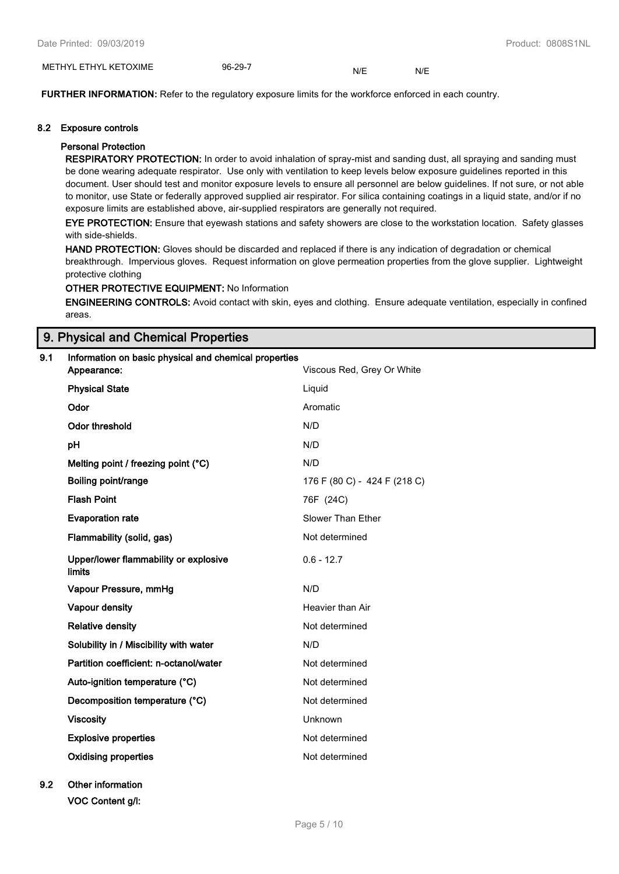| . KETOXIME<br>METH<br>ا⁄د<br>⊣ H∨' | ററ<br>- 96-<br>−•<br>__ | $\overline{ }$<br>NL | N. |
|------------------------------------|-------------------------|----------------------|----|
|------------------------------------|-------------------------|----------------------|----|

**FURTHER INFORMATION:** Refer to the regulatory exposure limits for the workforce enforced in each country.

#### 8.2 Exposure controls

### Personal Protection

RESPIRATORY PROTECTION: In order to avoid inhalation of spray-mist and sanding dust, all spraying and sanding must be done wearing adequate respirator. Use only with ventilation to keep levels below exposure guidelines reported in this document. User should test and monitor exposure levels to ensure all personnel are below guidelines. If not sure, or not able to monitor, use State or federally approved supplied air respirator. For silica containing coatings in a liquid state, and/or if no exposure limits are established above, air-supplied respirators are generally not required.

EYE PROTECTION: Ensure that eyewash stations and safety showers are close to the workstation location. Safety glasses with side-shields.

HAND PROTECTION: Gloves should be discarded and replaced if there is any indication of degradation or chemical breakthrough. Impervious gloves. Request information on glove permeation properties from the glove supplier. Lightweight protective clothing

#### OTHER PROTECTIVE EQUIPMENT: No Information

ENGINEERING CONTROLS: Avoid contact with skin, eyes and clothing. Ensure adequate ventilation, especially in confined areas.

## 9. Physical and Chemical Properties

# 9.1 Information on basic physical and chemical properties Appearance: Viscous Red, Grey Or White **Physical State Liquid Contract Contract Contract Contract Contract Contract Contract Contract Contract Contract Contract Contract Contract Contract Contract Contract Contract Contract Contract Contract Contract Contract C** Odor **Aromatic Contract Contract Aromatic Contract Aromatic** Odor threshold N/D pH N/D Melting point / freezing point  $(^{\circ}C)$  N/D Boiling point/range 176 F (80 C) - 424 F (218 C) Flash Point 76F (24C) **Evaporation rate** Slower Than Ether Flammability (solid, gas) Not determined Upper/lower flammability or explosive limits 0.6 - 12.7 Vapour Pressure, mmHg N/D Vapour density **All Accord Contracts** Heavier than Air Relative density **Not determined** Not determined Solubility in / Miscibility with water N/D Partition coefficient: n-octanol/water Not determined Auto-ignition temperature (°C) Not determined Decomposition temperature (°C) Not determined Viscosity Unknown Explosive properties and the state of the Not determined Oxidising properties Not determined 9.2 Other information

VOC Content g/l: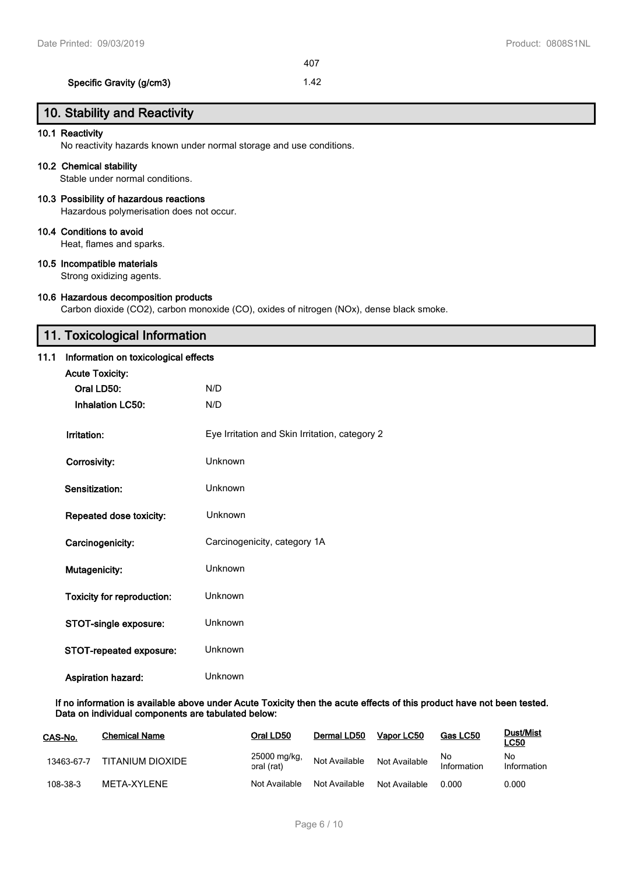### Specific Gravity (g/cm3) 1.42

# 10. Stability and Reactivity

### 10.1 Reactivity

No reactivity hazards known under normal storage and use conditions.

#### 10.2 Chemical stability

Stable under normal conditions.

## 10.3 Possibility of hazardous reactions

Hazardous polymerisation does not occur.

#### 10.4 Conditions to avoid

Heat, flames and sparks.

### 10.5 Incompatible materials

Strong oxidizing agents.

#### 10.6 Hazardous decomposition products

Carbon dioxide (CO2), carbon monoxide (CO), oxides of nitrogen (NOx), dense black smoke.

# **11. Toxicological Information**

#### **11.1 Information on toxicological effects**

| <b>Acute Toxicity:</b>            |                                                |
|-----------------------------------|------------------------------------------------|
| Oral LD50:                        | N/D                                            |
| <b>Inhalation LC50:</b>           | N/D                                            |
|                                   |                                                |
| Irritation:                       | Eye Irritation and Skin Irritation, category 2 |
|                                   | Unknown                                        |
| Corrosivity:                      |                                                |
| Sensitization:                    | Unknown                                        |
|                                   |                                                |
| <b>Repeated dose toxicity:</b>    | Unknown                                        |
| Carcinogenicity:                  | Carcinogenicity, category 1A                   |
|                                   |                                                |
| Mutagenicity:                     | Unknown                                        |
|                                   | Unknown                                        |
| <b>Toxicity for reproduction:</b> |                                                |
| STOT-single exposure:             | Unknown                                        |
|                                   |                                                |
| <b>STOT-repeated exposure:</b>    | Unknown                                        |
| <b>Aspiration hazard:</b>         | Unknown                                        |
|                                   |                                                |

#### **If no information is available above under Acute Toxicity then the acute effects of this product have not been tested. Data on individual components are tabulated below:**

| CAS-No.    | <b>Chemical Name</b> | Oral LD50                  | Dermal LD50   | Vapor LC50    | Gas LC50           | <b>Dust/Mist</b><br><b>LC50</b> |
|------------|----------------------|----------------------------|---------------|---------------|--------------------|---------------------------------|
| 13463-67-7 | TITANIUM DIOXIDE     | 25000 mg/kg,<br>oral (rat) | Not Available | Not Available | No.<br>Information | No<br>Information               |
| 108-38-3   | MFTA-XYI FNF         | Not Available              | Not Available | Not Available | 0.000              | 0.000                           |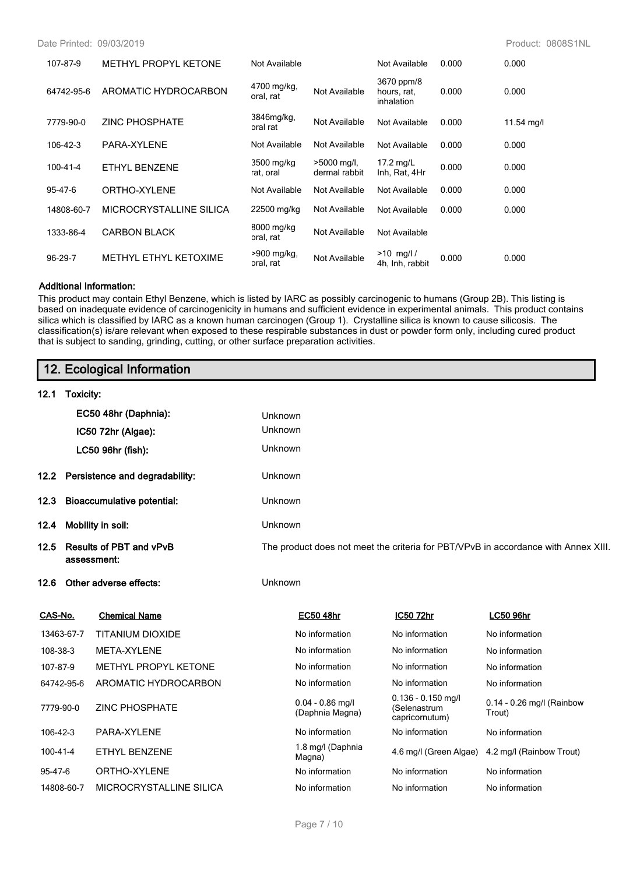Date Printed: 09/03/2019 Product: 0808S1NL

| 107-87-9   | <b>METHYL PROPYL KETONE</b> | Not Available            |                                | Not Available                           | 0.000 | 0.000      |
|------------|-----------------------------|--------------------------|--------------------------------|-----------------------------------------|-------|------------|
| 64742-95-6 | AROMATIC HYDROCARBON        | 4700 mg/kg,<br>oral, rat | Not Available                  | 3670 ppm/8<br>hours, rat,<br>inhalation | 0.000 | 0.000      |
| 7779-90-0  | <b>ZINC PHOSPHATE</b>       | 3846mg/kg,<br>oral rat   | Not Available                  | Not Available                           | 0.000 | 11.54 mg/l |
| 106-42-3   | PARA-XYLENE                 | Not Available            | Not Available                  | Not Available                           | 0.000 | 0.000      |
| 100-41-4   | ETHYL BENZENE               | 3500 mg/kg<br>rat, oral  | $>5000$ mg/l,<br>dermal rabbit | 17.2 mg/L<br>Inh, Rat, 4Hr              | 0.000 | 0.000      |
| 95-47-6    | ORTHO-XYLENE                | Not Available            | Not Available                  | Not Available                           | 0.000 | 0.000      |
| 14808-60-7 | MICROCRYSTALLINE SILICA     | 22500 mg/kg              | Not Available                  | Not Available                           | 0.000 | 0.000      |
| 1333-86-4  | <b>CARBON BLACK</b>         | 8000 mg/kg<br>oral, rat  | Not Available                  | Not Available                           |       |            |
| 96-29-7    | METHYL ETHYL KETOXIME       | >900 mg/kg,<br>oral, rat | Not Available                  | $>10$ mg/l/<br>4h, Inh, rabbit          | 0.000 | 0.000      |

#### **Additional Information:**

This product may contain Ethyl Benzene, which is listed by IARC as possibly carcinogenic to humans (Group 2B). This listing is based on inadequate evidence of carcinogenicity in humans and sufficient evidence in experimental animals. This product contains silica which is classified by IARC as a known human carcinogen (Group 1). Crystalline silica is known to cause silicosis. The classification(s) is/are relevant when exposed to these respirable substances in dust or powder form only, including cured product that is subject to sanding, grinding, cutting, or other surface preparation activities.

| 12. Ecological Information |  |
|----------------------------|--|
|----------------------------|--|

| 12.1 | Toxicity:                                   |                                                                                    |
|------|---------------------------------------------|------------------------------------------------------------------------------------|
|      | EC50 48hr (Daphnia):                        | <b>Unknown</b>                                                                     |
|      | IC50 72hr (Algae):                          | <b>Unknown</b>                                                                     |
|      | LC50 96hr (fish):                           | <b>Unknown</b>                                                                     |
|      | 12.2 Persistence and degradability:         | <b>Unknown</b>                                                                     |
|      | 12.3 Bioaccumulative potential:             | <b>Unknown</b>                                                                     |
| 12.4 | Mobility in soil:                           | <b>Unknown</b>                                                                     |
|      | 12.5 Results of PBT and vPvB<br>assessment: | The product does not meet the criteria for PBT/VPvB in accordance with Annex XIII. |
|      | 12.6 Other adverse effects:                 | <b>Unknown</b>                                                                     |

| CAS-No.        | <b>Chemical Name</b>    | <b>EC50 48hr</b>                      | IC50 72hr                                              | <b>LC50 96hr</b>                    |
|----------------|-------------------------|---------------------------------------|--------------------------------------------------------|-------------------------------------|
| 13463-67-7     | <b>TITANIUM DIOXIDE</b> | No information                        | No information                                         | No information                      |
| 108-38-3       | META-XYLENE             | No information                        | No information                                         | No information                      |
| 107-87-9       | METHYL PROPYL KETONE    | No information                        | No information                                         | No information                      |
| 64742-95-6     | AROMATIC HYDROCARBON    | No information                        | No information                                         | No information                      |
| 7779-90-0      | <b>ZINC PHOSPHATE</b>   | $0.04 - 0.86$ mg/l<br>(Daphnia Magna) | $0.136 - 0.150$ mg/l<br>(Selenastrum<br>capricornutum) | 0.14 - 0.26 mg/l (Rainbow<br>Trout) |
| $106 - 42 - 3$ | PARA-XYLENE             | No information                        | No information                                         | No information                      |
| 100-41-4       | ETHYL BENZENE           | 1.8 mg/l (Daphnia<br>Magna)           | 4.6 mg/l (Green Algae)                                 | 4.2 mg/l (Rainbow Trout)            |
| 95-47-6        | ORTHO-XYLENE            | No information                        | No information                                         | No information                      |
| 14808-60-7     | MICROCRYSTALLINE SILICA | No information                        | No information                                         | No information                      |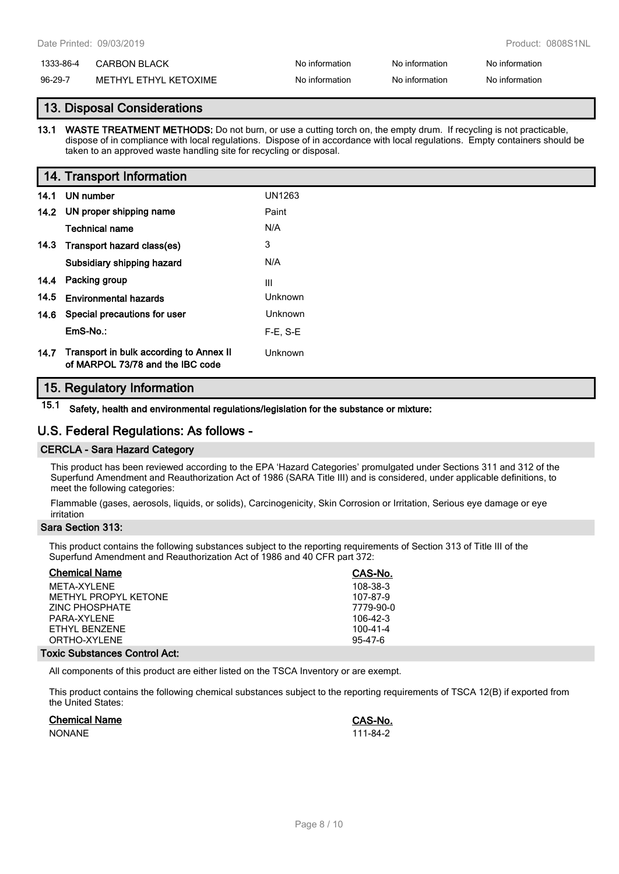# 1333-86-4 CARBON BLACK No information No information No information No information

96-29-7 METHYL ETHYL KETOXIME No information No information No information No information

# **13. Disposal Considerations**

**13.1 WASTE TREATMENT METHODS:** Do not burn, or use a cutting torch on, the empty drum. If recycling is not practicable, dispose of in compliance with local regulations. Dispose of in accordance with local regulations. Empty containers should be taken to an approved waste handling site for recycling or disposal.

|      | 14. Transport Information                                                   |                |
|------|-----------------------------------------------------------------------------|----------------|
| 14.1 | UN number                                                                   | UN1263         |
|      | 14.2 UN proper shipping name                                                | Paint          |
|      | <b>Technical name</b>                                                       | N/A            |
|      | 14.3 Transport hazard class(es)                                             | 3              |
|      | Subsidiary shipping hazard                                                  | N/A            |
|      | 14.4 Packing group                                                          | Ш              |
| 14.5 | <b>Environmental hazards</b>                                                | Unknown        |
|      | 14.6 Special precautions for user                                           | <b>Unknown</b> |
|      | EmS-No.:                                                                    | $F-E$ , S-E    |
| 14.7 | Transport in bulk according to Annex II<br>of MARPOL 73/78 and the IBC code | Unknown        |

# **15. Regulatory Information**

**15.1 Safety, health and environmental regulations/legislation for the substance or mixture:**

# **U.S. Federal Regulations: As follows -**

## **CERCLA - Sara Hazard Category**

This product has been reviewed according to the EPA 'Hazard Categories' promulgated under Sections 311 and 312 of the Superfund Amendment and Reauthorization Act of 1986 (SARA Title III) and is considered, under applicable definitions, to meet the following categories:

Flammable (gases, aerosols, liquids, or solids), Carcinogenicity, Skin Corrosion or Irritation, Serious eye damage or eye irritation

## **Sara Section 313:**

This product contains the following substances subject to the reporting requirements of Section 313 of Title III of the Superfund Amendment and Reauthorization Act of 1986 and 40 CFR part 372:

| <b>Chemical Name</b>  | CAS-No.       |
|-----------------------|---------------|
| MFTA-XYI FNF          | 108-38-3      |
| METHYL PROPYL KETONE  | 107-87-9      |
| <b>ZINC PHOSPHATE</b> | 7779-90-0     |
| PARA-XYLENE           | $106-42-3$    |
| FTHYL BENZENE         | 100-41-4      |
| ORTHO-XYLENE          | $95 - 47 - 6$ |
|                       |               |

### **Toxic Substances Control Act:**

All components of this product are either listed on the TSCA Inventory or are exempt.

This product contains the following chemical substances subject to the reporting requirements of TSCA 12(B) if exported from the United States:

| <b>Chemical Name</b> | CAS-No.  |
|----------------------|----------|
| <b>NONANE</b>        | 111-84-2 |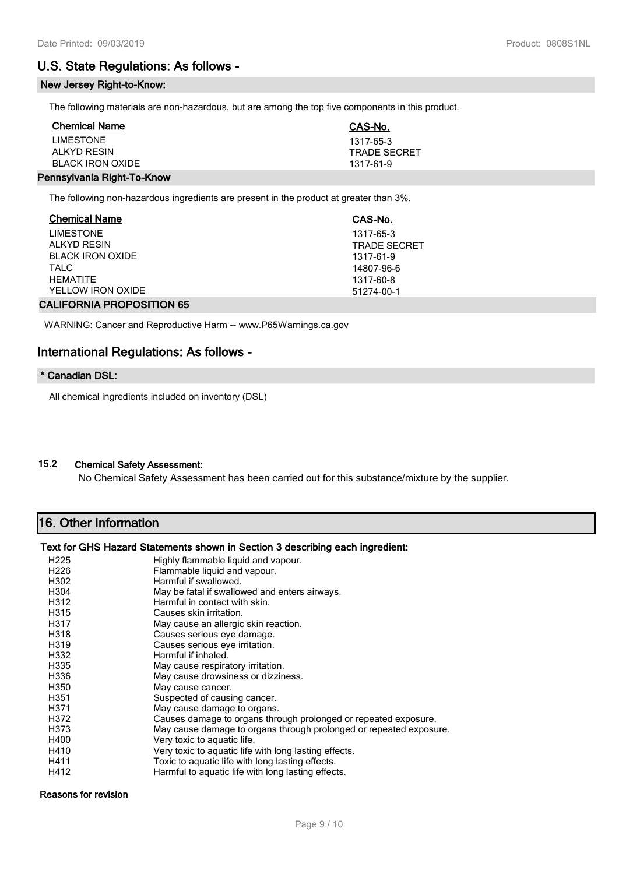# **U.S. State Regulations: As follows -**

## **New Jersey Right-to-Know:**

The following materials are non-hazardous, but are among the top five components in this product.

| <b>Chemical Name</b>    | CAS-No.             |
|-------------------------|---------------------|
| <b>LIMESTONE</b>        | 1317-65-3           |
| ALKYD RESIN             | <b>TRADE SECRET</b> |
| <b>BLACK IRON OXIDE</b> | 1317-61-9           |
|                         |                     |

## **Pennsylvania Right-To-Know**

The following non-hazardous ingredients are present in the product at greater than 3%.

| <b>Chemical Name</b>             | CAS-No.             |  |
|----------------------------------|---------------------|--|
| <b>LIMESTONE</b>                 | 1317-65-3           |  |
| <b>ALKYD RESIN</b>               | <b>TRADE SECRET</b> |  |
| <b>BLACK IRON OXIDE</b>          | 1317-61-9           |  |
| <b>TALC</b>                      | 14807-96-6          |  |
| <b>HFMATITF</b>                  | 1317-60-8           |  |
| YELLOW IRON OXIDE                | 51274-00-1          |  |
| <b>CALIFORNIA PROPOSITION 65</b> |                     |  |

WARNING: Cancer and Reproductive Harm -- www.P65Warnings.ca.gov

# **International Regulations: As follows -**

#### **\* Canadian DSL:**

All chemical ingredients included on inventory (DSL)

# **15.2 Chemical Safety Assessment:**

No Chemical Safety Assessment has been carried out for this substance/mixture by the supplier.

# **16. Other Information**

### **Text for GHS Hazard Statements shown in Section 3 describing each ingredient:**

| H <sub>225</sub> | Highly flammable liquid and vapour.                                |
|------------------|--------------------------------------------------------------------|
| H <sub>226</sub> | Flammable liquid and vapour.                                       |
| H302             | Harmful if swallowed.                                              |
| H304             | May be fatal if swallowed and enters airways.                      |
| H312             | Harmful in contact with skin.                                      |
| H315             | Causes skin irritation.                                            |
| H317             | May cause an allergic skin reaction.                               |
| H318             | Causes serious eye damage.                                         |
| H319             | Causes serious eye irritation.                                     |
| H332             | Harmful if inhaled.                                                |
| H335             | May cause respiratory irritation.                                  |
| H336             | May cause drowsiness or dizziness.                                 |
| H350             | May cause cancer.                                                  |
| H351             | Suspected of causing cancer.                                       |
| H371             | May cause damage to organs.                                        |
| H372             | Causes damage to organs through prolonged or repeated exposure.    |
| H373             | May cause damage to organs through prolonged or repeated exposure. |
| H400             | Very toxic to aquatic life.                                        |
| H410             | Very toxic to aquatic life with long lasting effects.              |
| H411             | Toxic to aquatic life with long lasting effects.                   |
| H412             | Harmful to aquatic life with long lasting effects.                 |

#### Reasons for revision